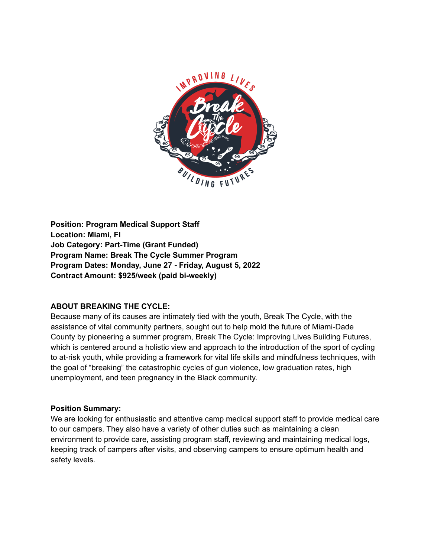

**Position: Program Medical Support Staff Location: Miami, Fl Job Category: Part-Time (Grant Funded) Program Name: Break The Cycle Summer Program Program Dates: Monday, June 27 - Friday, August 5, 2022 Contract Amount: \$925/week (paid bi-weekly)**

### **ABOUT BREAKING THE CYCLE:**

Because many of its causes are intimately tied with the youth, Break The Cycle, with the assistance of vital community partners, sought out to help mold the future of Miami-Dade County by pioneering a summer program, Break The Cycle: Improving Lives Building Futures, which is centered around a holistic view and approach to the introduction of the sport of cycling to at-risk youth, while providing a framework for vital life skills and mindfulness techniques, with the goal of "breaking" the catastrophic cycles of gun violence, low graduation rates, high unemployment, and teen pregnancy in the Black community.

#### **Position Summary:**

We are looking for enthusiastic and attentive camp medical support staff to provide medical care to our campers. They also have a variety of other duties such as maintaining a clean environment to provide care, assisting program staff, reviewing and maintaining medical logs, keeping track of campers after visits, and observing campers to ensure optimum health and safety levels.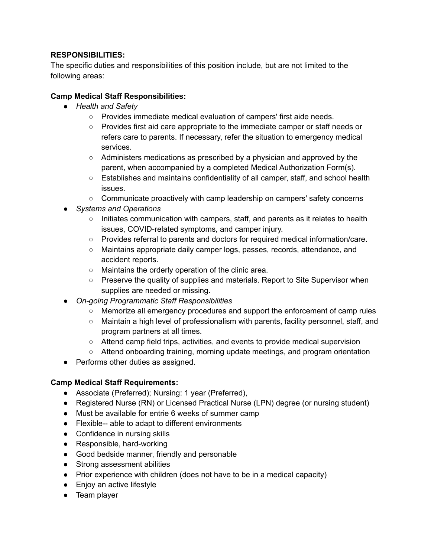## **RESPONSIBILITIES:**

The specific duties and responsibilities of this position include, but are not limited to the following areas:

# **Camp Medical Staff Responsibilities:**

- *● Health and Safety*
	- Provides immediate medical evaluation of campers' first aide needs.
	- Provides first aid care appropriate to the immediate camper or staff needs or refers care to parents. If necessary, refer the situation to emergency medical services.
	- Administers medications as prescribed by a physician and approved by the parent, when accompanied by a completed Medical Authorization Form(s).
	- Establishes and maintains confidentiality of all camper, staff, and school health issues.
	- Communicate proactively with camp leadership on campers' safety concerns
- *● Systems and Operations*
	- *○* Initiates communication with campers, staff, and parents as it relates to health issues, COVID-related symptoms, and camper injury.
	- Provides referral to parents and doctors for required medical information/care.
	- Maintains appropriate daily camper logs, passes, records, attendance, and accident reports.
	- Maintains the orderly operation of the clinic area.
	- Preserve the quality of supplies and materials. Report to Site Supervisor when supplies are needed or missing.
- *● On-going Programmatic Staff Responsibilities*
	- Memorize all emergency procedures and support the enforcement of camp rules
	- Maintain a high level of professionalism with parents, facility personnel, staff, and program partners at all times.
	- Attend camp field trips, activities, and events to provide medical supervision
	- Attend onboarding training, morning update meetings, and program orientation
- Performs other duties as assigned.

### **Camp Medical Staff Requirements:**

- Associate (Preferred); Nursing: 1 year (Preferred),
- Registered Nurse (RN) or Licensed Practical Nurse (LPN) degree (or nursing student)
- Must be available for entrie 6 weeks of summer camp
- Flexible-- able to adapt to different environments
- Confidence in nursing skills
- Responsible, hard-working
- Good bedside manner, friendly and personable
- Strong assessment abilities
- Prior experience with children (does not have to be in a medical capacity)
- Enjoy an active lifestyle
- Team player